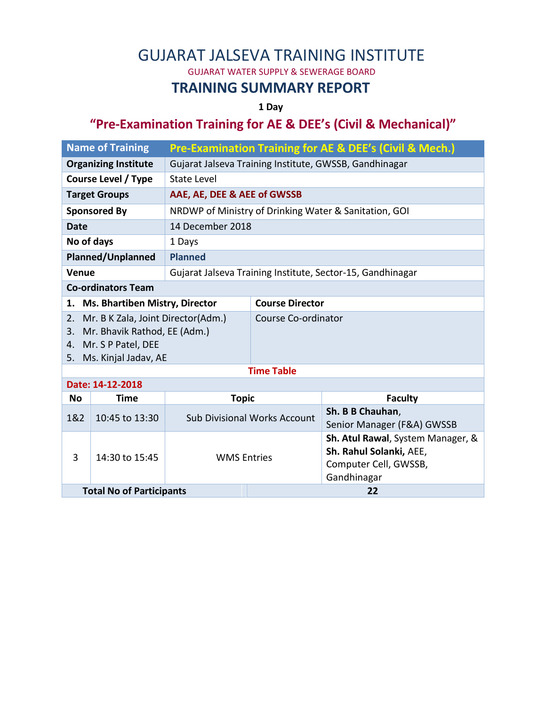# GUJARAT JALSEVA TRAINING INSTITUTE

GUJARAT WATER SUPPLY & SEWERAGE BOARD

#### **TRAINING SUMMARY REPORT**

**1 Day**

### **"Pre-Examination Training for AE & DEE's (Civil & Mechanical)"**

| <b>Name of Training</b>                                        |                                       | <b>Pre-Examination Training for AE &amp; DEE's (Civil &amp; Mech.)</b> |                            |                                                  |  |  |  |  |
|----------------------------------------------------------------|---------------------------------------|------------------------------------------------------------------------|----------------------------|--------------------------------------------------|--|--|--|--|
| <b>Organizing Institute</b>                                    |                                       | Gujarat Jalseva Training Institute, GWSSB, Gandhinagar                 |                            |                                                  |  |  |  |  |
| <b>Course Level / Type</b>                                     |                                       | <b>State Level</b>                                                     |                            |                                                  |  |  |  |  |
| <b>Target Groups</b>                                           |                                       | AAE, AE, DEE & AEE of GWSSB                                            |                            |                                                  |  |  |  |  |
| <b>Sponsored By</b>                                            |                                       | NRDWP of Ministry of Drinking Water & Sanitation, GOI                  |                            |                                                  |  |  |  |  |
| <b>Date</b>                                                    |                                       | 14 December 2018                                                       |                            |                                                  |  |  |  |  |
| No of days                                                     |                                       | 1 Days                                                                 |                            |                                                  |  |  |  |  |
| <b>Planned/Unplanned</b>                                       |                                       | <b>Planned</b>                                                         |                            |                                                  |  |  |  |  |
| Venue                                                          |                                       | Gujarat Jalseva Training Institute, Sector-15, Gandhinagar             |                            |                                                  |  |  |  |  |
| <b>Co-ordinators Team</b>                                      |                                       |                                                                        |                            |                                                  |  |  |  |  |
| 1.                                                             | <b>Ms. Bhartiben Mistry, Director</b> |                                                                        | <b>Course Director</b>     |                                                  |  |  |  |  |
| 2.                                                             | Mr. B K Zala, Joint Director(Adm.)    |                                                                        | Course Co-ordinator        |                                                  |  |  |  |  |
| Mr. Bhavik Rathod, EE (Adm.)<br>3.<br>Mr. S P Patel, DEE<br>4. |                                       |                                                                        |                            |                                                  |  |  |  |  |
| Ms. Kinjal Jadav, AE<br>5.                                     |                                       |                                                                        |                            |                                                  |  |  |  |  |
| <b>Time Table</b>                                              |                                       |                                                                        |                            |                                                  |  |  |  |  |
| Date: 14-12-2018                                               |                                       |                                                                        |                            |                                                  |  |  |  |  |
| <b>No</b>                                                      | <b>Time</b>                           | <b>Topic</b>                                                           |                            | <b>Faculty</b>                                   |  |  |  |  |
| 1&2                                                            | 10:45 to 13:30                        | <b>Sub Divisional Works Account</b>                                    |                            | Sh. B B Chauhan,                                 |  |  |  |  |
|                                                                |                                       |                                                                        | Senior Manager (F&A) GWSSB |                                                  |  |  |  |  |
| 3                                                              | 14:30 to 15:45                        |                                                                        |                            | Sh. Atul Rawal, System Manager, &                |  |  |  |  |
|                                                                |                                       | <b>WMS Entries</b>                                                     |                            | Sh. Rahul Solanki, AEE,<br>Computer Cell, GWSSB, |  |  |  |  |
|                                                                |                                       |                                                                        |                            | Gandhinagar                                      |  |  |  |  |
| <b>Total No of Participants</b>                                |                                       |                                                                        | 22                         |                                                  |  |  |  |  |
|                                                                |                                       |                                                                        |                            |                                                  |  |  |  |  |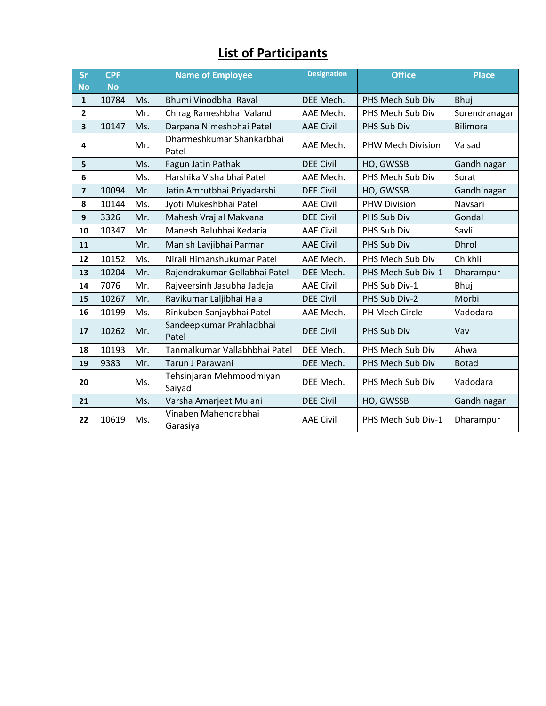## **List of Participants**

| Sr<br><b>No</b> | <b>CPF</b><br><b>No</b> |     | <b>Name of Employee</b>            | <b>Designation</b> | <b>Office</b>       | <b>Place</b>    |
|-----------------|-------------------------|-----|------------------------------------|--------------------|---------------------|-----------------|
| $\mathbf{1}$    | 10784                   | Ms. | Bhumi Vinodbhai Raval              | DEE Mech.          | PHS Mech Sub Div    | Bhuj            |
| $\mathbf{2}$    |                         | Mr. | Chirag Rameshbhai Valand           | AAE Mech.          | PHS Mech Sub Div    | Surendranagar   |
| 3               | 10147                   | Ms. | Darpana Nimeshbhai Patel           | <b>AAE Civil</b>   | PHS Sub Div         | <b>Bilimora</b> |
| 4               |                         | Mr. | Dharmeshkumar Shankarbhai<br>Patel | AAE Mech.          | PHW Mech Division   | Valsad          |
| 5               |                         | Ms. | Fagun Jatin Pathak                 | <b>DEE Civil</b>   | HO, GWSSB           | Gandhinagar     |
| 6               |                         | Ms. | Harshika Vishalbhai Patel          | AAE Mech.          | PHS Mech Sub Div    | Surat           |
| 7               | 10094                   | Mr. | Jatin Amrutbhai Priyadarshi        | <b>DEE Civil</b>   | HO, GWSSB           | Gandhinagar     |
| 8               | 10144                   | Ms. | Jyoti Mukeshbhai Patel             | <b>AAE Civil</b>   | <b>PHW Division</b> | Navsari         |
| 9               | 3326                    | Mr. | Mahesh Vrajlal Makvana             | <b>DEE Civil</b>   | PHS Sub Div         | Gondal          |
| 10              | 10347                   | Mr. | Manesh Balubhai Kedaria            | <b>AAE Civil</b>   | PHS Sub Div         | Savli           |
| 11              |                         | Mr. | Manish Lavjibhai Parmar            | <b>AAE Civil</b>   | <b>PHS Sub Div</b>  | <b>Dhrol</b>    |
| 12              | 10152                   | Ms. | Nirali Himanshukumar Patel         | AAE Mech.          | PHS Mech Sub Div    | Chikhli         |
| 13              | 10204                   | Mr. | Rajendrakumar Gellabhai Patel      | DEE Mech.          | PHS Mech Sub Div-1  | Dharampur       |
| 14              | 7076                    | Mr. | Rajveersinh Jasubha Jadeja         | <b>AAE Civil</b>   | PHS Sub Div-1       | Bhuj            |
| 15              | 10267                   | Mr. | Ravikumar Laljibhai Hala           | <b>DEE Civil</b>   | PHS Sub Div-2       | Morbi           |
| 16              | 10199                   | Ms. | Rinkuben Sanjaybhai Patel          | AAE Mech.          | PH Mech Circle      | Vadodara        |
| 17              | 10262                   | Mr. | Sandeepkumar Prahladbhai<br>Patel  | <b>DEE Civil</b>   | PHS Sub Div         | Vav             |
| 18              | 10193                   | Mr. | Tanmalkumar Vallabhbhai Patel      | DEE Mech.          | PHS Mech Sub Div    | Ahwa            |
| 19              | 9383                    | Mr. | Tarun J Parawani                   | DEE Mech.          | PHS Mech Sub Div    | <b>Botad</b>    |
| 20              |                         | Ms. | Tehsinjaran Mehmoodmiyan<br>Saiyad | DEE Mech.          | PHS Mech Sub Div    | Vadodara        |
| 21              |                         | Ms. | Varsha Amarjeet Mulani             | <b>DEE Civil</b>   | HO, GWSSB           | Gandhinagar     |
| 22              | 10619                   | Ms. | Vinaben Mahendrabhai<br>Garasiya   | <b>AAE Civil</b>   | PHS Mech Sub Div-1  | Dharampur       |